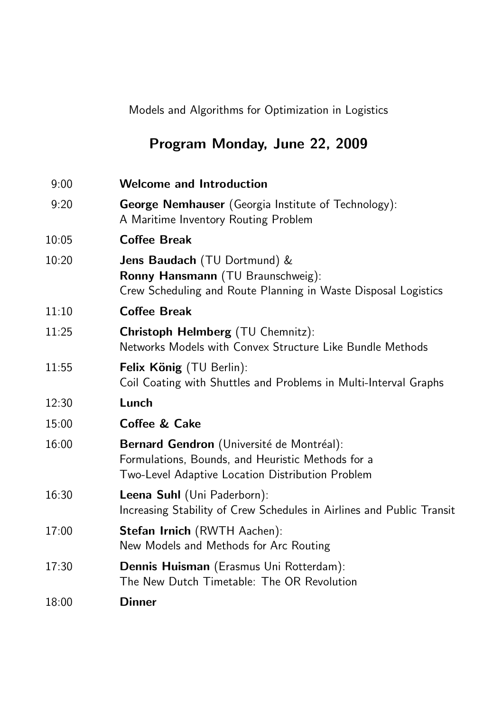# Program Monday, June 22, 2009

| 9:00  | <b>Welcome and Introduction</b>                                                                                                                           |
|-------|-----------------------------------------------------------------------------------------------------------------------------------------------------------|
| 9:20  | George Nemhauser (Georgia Institute of Technology):<br>A Maritime Inventory Routing Problem                                                               |
| 10:05 | <b>Coffee Break</b>                                                                                                                                       |
| 10:20 | Jens Baudach (TU Dortmund) &<br>Ronny Hansmann (TU Braunschweig):<br>Crew Scheduling and Route Planning in Waste Disposal Logistics                       |
| 11:10 | <b>Coffee Break</b>                                                                                                                                       |
| 11:25 | <b>Christoph Helmberg</b> (TU Chemnitz):<br>Networks Models with Convex Structure Like Bundle Methods                                                     |
| 11:55 | Felix König (TU Berlin):<br>Coil Coating with Shuttles and Problems in Multi-Interval Graphs                                                              |
| 12:30 | Lunch                                                                                                                                                     |
| 15:00 | <b>Coffee &amp; Cake</b>                                                                                                                                  |
| 16:00 | Bernard Gendron (Université de Montréal):<br>Formulations, Bounds, and Heuristic Methods for a<br><b>Two-Level Adaptive Location Distribution Problem</b> |
| 16:30 | Leena Suhl (Uni Paderborn):<br>Increasing Stability of Crew Schedules in Airlines and Public Transit                                                      |
| 17:00 | <b>Stefan Irnich</b> (RWTH Aachen):<br>New Models and Methods for Arc Routing                                                                             |
| 17:30 | Dennis Huisman (Erasmus Uni Rotterdam):<br>The New Dutch Timetable: The OR Revolution                                                                     |
| 18:00 | <b>Dinner</b>                                                                                                                                             |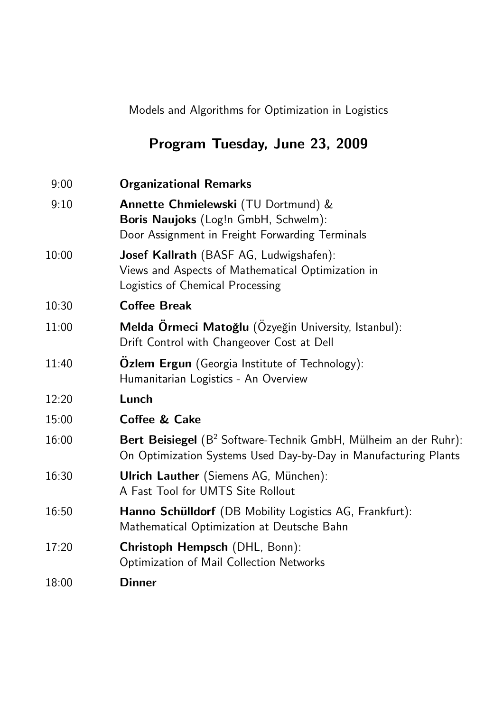# Program Tuesday, June 23, 2009

| 9:00  | <b>Organizational Remarks</b>                                                                                                                  |
|-------|------------------------------------------------------------------------------------------------------------------------------------------------|
| 9:10  | Annette Chmielewski (TU Dortmund) &<br>Boris Naujoks (Log!n GmbH, Schwelm):<br>Door Assignment in Freight Forwarding Terminals                 |
| 10:00 | Josef Kallrath (BASF AG, Ludwigshafen):<br>Views and Aspects of Mathematical Optimization in<br>Logistics of Chemical Processing               |
| 10:30 | <b>Coffee Break</b>                                                                                                                            |
| 11:00 | Melda Örmeci Matoğlu (Ozyeğin University, Istanbul):<br>Drift Control with Changeover Cost at Dell                                             |
| 11:40 | Ozlem Ergun (Georgia Institute of Technology):<br>Humanitarian Logistics - An Overview                                                         |
| 12:20 | Lunch                                                                                                                                          |
| 15:00 | <b>Coffee &amp; Cake</b>                                                                                                                       |
| 16:00 | Bert Beisiegel (B <sup>2</sup> Software-Technik GmbH, Mülheim an der Ruhr):<br>On Optimization Systems Used Day-by-Day in Manufacturing Plants |
| 16:30 | <b>Ulrich Lauther</b> (Siemens AG, München):<br>A Fast Tool for UMTS Site Rollout                                                              |
| 16:50 | Hanno Schülldorf (DB Mobility Logistics AG, Frankfurt):<br>Mathematical Optimization at Deutsche Bahn                                          |
| 17:20 | Christoph Hempsch (DHL, Bonn):<br>Optimization of Mail Collection Networks                                                                     |
| 18:00 | <b>Dinner</b>                                                                                                                                  |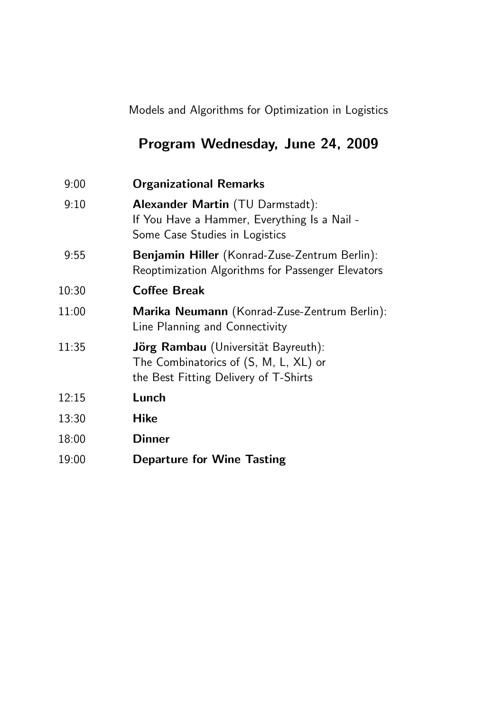# Program Wednesday, June 24, 2009

| <b>Organizational Remarks</b>                                                                                         |
|-----------------------------------------------------------------------------------------------------------------------|
| Alexander Martin (TU Darmstadt):<br>If You Have a Hammer, Everything Is a Nail -<br>Some Case Studies in Logistics    |
| Benjamin Hiller (Konrad-Zuse-Zentrum Berlin):<br>Reoptimization Algorithms for Passenger Elevators                    |
| <b>Coffee Break</b>                                                                                                   |
| Marika Neumann (Konrad-Zuse-Zentrum Berlin):<br>Line Planning and Connectivity                                        |
| Jörg Rambau (Universität Bayreuth):<br>The Combinatorics of (S, M, L, XL) or<br>the Best Fitting Delivery of T-Shirts |
| Lunch                                                                                                                 |
| <b>Hike</b>                                                                                                           |
| <b>Dinner</b>                                                                                                         |
| <b>Departure for Wine Tasting</b>                                                                                     |
|                                                                                                                       |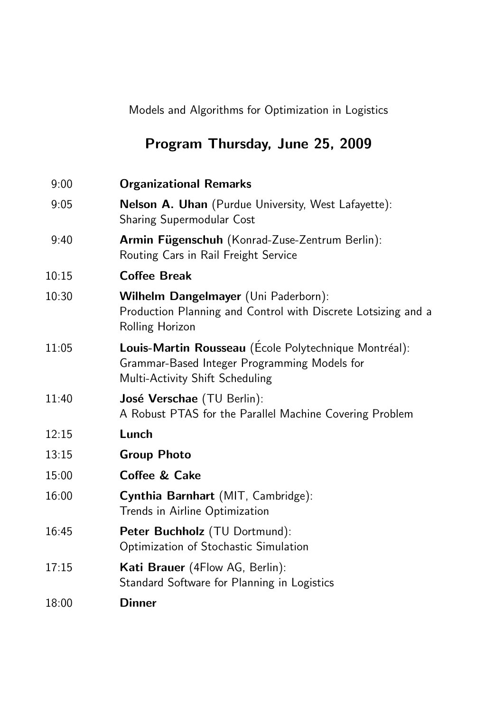# Program Thursday, June 25, 2009

| 9:00  | <b>Organizational Remarks</b>                                                                                                            |
|-------|------------------------------------------------------------------------------------------------------------------------------------------|
| 9:05  | <b>Nelson A. Uhan</b> (Purdue University, West Lafayette):<br><b>Sharing Supermodular Cost</b>                                           |
| 9:40  | Armin Fügenschuh (Konrad-Zuse-Zentrum Berlin):<br>Routing Cars in Rail Freight Service                                                   |
| 10:15 | <b>Coffee Break</b>                                                                                                                      |
| 10:30 | Wilhelm Dangelmayer (Uni Paderborn):<br>Production Planning and Control with Discrete Lotsizing and a<br>Rolling Horizon                 |
| 11:05 | Louis-Martin Rousseau (École Polytechnique Montréal):<br>Grammar-Based Integer Programming Models for<br>Multi-Activity Shift Scheduling |
| 11:40 | José Verschae (TU Berlin):<br>A Robust PTAS for the Parallel Machine Covering Problem                                                    |
| 12:15 | Lunch                                                                                                                                    |
| 13:15 | <b>Group Photo</b>                                                                                                                       |
| 15:00 | <b>Coffee &amp; Cake</b>                                                                                                                 |
| 16:00 | Cynthia Barnhart (MIT, Cambridge):<br>Trends in Airline Optimization                                                                     |
| 16:45 | Peter Buchholz (TU Dortmund):<br>Optimization of Stochastic Simulation                                                                   |
| 17:15 | Kati Brauer (4Flow AG, Berlin):<br>Standard Software for Planning in Logistics                                                           |
| 18:00 | <b>Dinner</b>                                                                                                                            |